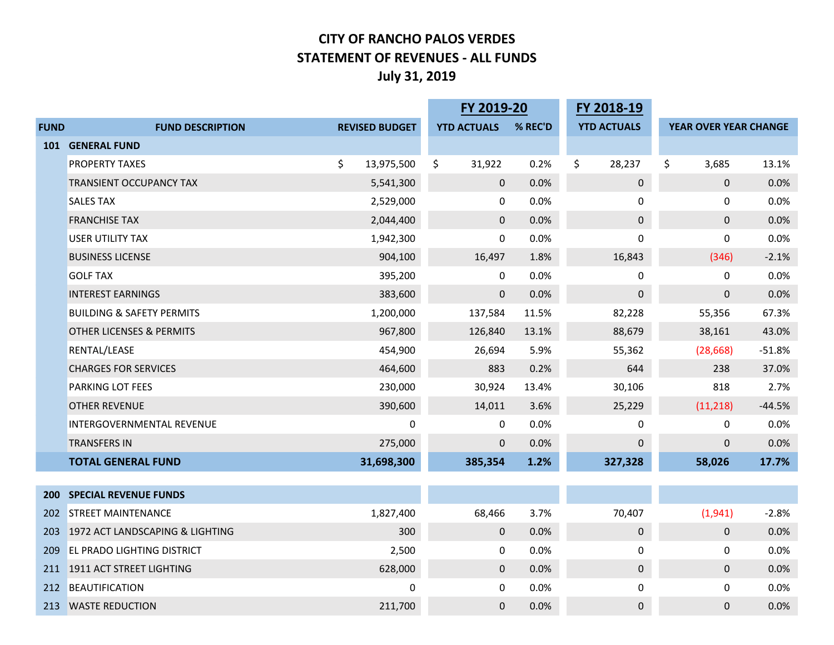## **CITY OF RANCHO PALOS VERDES STATEMENT OF REVENUES - ALL FUNDS July 31, 2019**

|             |                                      |    |                       | FY 2019-20         |         | FY 2018-19         |                       |          |
|-------------|--------------------------------------|----|-----------------------|--------------------|---------|--------------------|-----------------------|----------|
| <b>FUND</b> | <b>FUND DESCRIPTION</b>              |    | <b>REVISED BUDGET</b> | <b>YTD ACTUALS</b> | % REC'D | <b>YTD ACTUALS</b> | YEAR OVER YEAR CHANGE |          |
| <b>101</b>  | <b>GENERAL FUND</b>                  |    |                       |                    |         |                    |                       |          |
|             | <b>PROPERTY TAXES</b>                | \$ | 13,975,500            | \$<br>31,922       | 0.2%    | \$<br>28,237       | \$<br>3,685           | 13.1%    |
|             | TRANSIENT OCCUPANCY TAX              |    | 5,541,300             | $\mathbf 0$        | 0.0%    | $\pmb{0}$          | $\mathbf 0$           | 0.0%     |
|             | <b>SALES TAX</b>                     |    | 2,529,000             | 0                  | 0.0%    | 0                  | 0                     | 0.0%     |
|             | <b>FRANCHISE TAX</b>                 |    | 2,044,400             | $\mathbf 0$        | 0.0%    | $\pmb{0}$          | $\pmb{0}$             | 0.0%     |
|             | <b>USER UTILITY TAX</b>              |    | 1,942,300             | 0                  | 0.0%    | 0                  | 0                     | 0.0%     |
|             | <b>BUSINESS LICENSE</b>              |    | 904,100               | 16,497             | 1.8%    | 16,843             | (346)                 | $-2.1%$  |
|             | <b>GOLF TAX</b>                      |    | 395,200               | $\mathbf{0}$       | 0.0%    | 0                  | $\Omega$              | 0.0%     |
|             | <b>INTEREST EARNINGS</b>             |    | 383,600               | $\mathbf 0$        | 0.0%    | $\pmb{0}$          | 0                     | 0.0%     |
|             | <b>BUILDING &amp; SAFETY PERMITS</b> |    | 1,200,000             | 137,584            | 11.5%   | 82,228             | 55,356                | 67.3%    |
|             | <b>OTHER LICENSES &amp; PERMITS</b>  |    | 967,800               | 126,840            | 13.1%   | 88,679             | 38,161                | 43.0%    |
|             | RENTAL/LEASE                         |    | 454,900               | 26,694             | 5.9%    | 55,362             | (28, 668)             | $-51.8%$ |
|             | <b>CHARGES FOR SERVICES</b>          |    | 464,600               | 883                | 0.2%    | 644                | 238                   | 37.0%    |
|             | <b>PARKING LOT FEES</b>              |    | 230,000               | 30,924             | 13.4%   | 30,106             | 818                   | 2.7%     |
|             | <b>OTHER REVENUE</b>                 |    | 390,600               | 14,011             | 3.6%    | 25,229             | (11, 218)             | $-44.5%$ |
|             | INTERGOVERNMENTAL REVENUE            |    | 0                     | 0                  | 0.0%    | 0                  | 0                     | 0.0%     |
|             | <b>TRANSFERS IN</b>                  |    | 275,000               | $\pmb{0}$          | 0.0%    | $\mathbf 0$        | $\mathbf 0$           | 0.0%     |
|             | <b>TOTAL GENERAL FUND</b>            |    | 31,698,300            | 385,354            | 1.2%    | 327,328            | 58,026                | 17.7%    |
|             |                                      |    |                       |                    |         |                    |                       |          |
| <b>200</b>  | <b>SPECIAL REVENUE FUNDS</b>         |    |                       |                    |         |                    |                       |          |
| 202         | <b>STREET MAINTENANCE</b>            |    | 1,827,400             | 68,466             | 3.7%    | 70,407             | (1,941)               | $-2.8%$  |
| 203         | 1972 ACT LANDSCAPING & LIGHTING      |    | 300                   | $\mathbf 0$        | 0.0%    | $\pmb{0}$          | $\mathbf 0$           | 0.0%     |
| 209         | <b>EL PRADO LIGHTING DISTRICT</b>    |    | 2,500                 | $\mathbf{0}$       | 0.0%    | 0                  | 0                     | 0.0%     |
|             | 211 1911 ACT STREET LIGHTING         |    | 628,000               | $\mathbf 0$        | 0.0%    | $\mathsf 0$        | 0                     | 0.0%     |
| 212         | <b>BEAUTIFICATION</b>                |    | 0                     | $\mathbf 0$        | 0.0%    | 0                  | 0                     | 0.0%     |
| 213         | <b>WASTE REDUCTION</b>               |    | 211,700               | $\mathbf 0$        | 0.0%    | $\pmb{0}$          | $\pmb{0}$             | 0.0%     |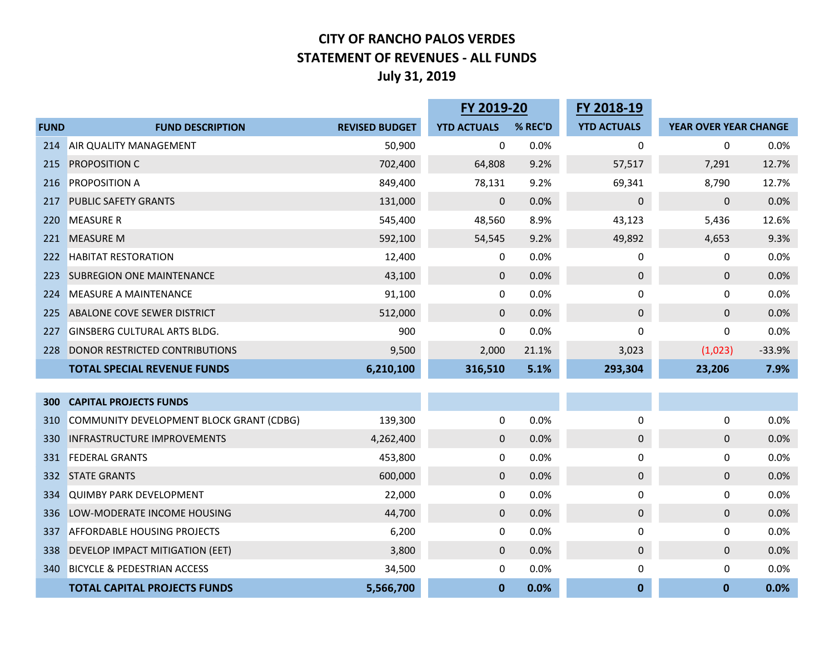## **CITY OF RANCHO PALOS VERDES STATEMENT OF REVENUES - ALL FUNDS July 31, 2019**

|             |                                          |                       | FY 2019-20         |         | FY 2018-19         |                       |          |
|-------------|------------------------------------------|-----------------------|--------------------|---------|--------------------|-----------------------|----------|
| <b>FUND</b> | <b>FUND DESCRIPTION</b>                  | <b>REVISED BUDGET</b> | <b>YTD ACTUALS</b> | % REC'D | <b>YTD ACTUALS</b> | YEAR OVER YEAR CHANGE |          |
| 214         | <b>AIR QUALITY MANAGEMENT</b>            | 50,900                | 0                  | 0.0%    | 0                  | 0                     | 0.0%     |
| 215         | <b>PROPOSITION C</b>                     | 702,400               | 64,808             | 9.2%    | 57,517             | 7,291                 | 12.7%    |
| 216         | <b>PROPOSITION A</b>                     | 849,400               | 78,131             | 9.2%    | 69,341             | 8,790                 | 12.7%    |
| 217         | <b>PUBLIC SAFETY GRANTS</b>              | 131,000               | $\mathbf 0$        | 0.0%    | $\pmb{0}$          | 0                     | 0.0%     |
| 220         | <b>MEASURE R</b>                         | 545,400               | 48,560             | 8.9%    | 43,123             | 5,436                 | 12.6%    |
| 221         | <b>MEASURE M</b>                         | 592,100               | 54,545             | 9.2%    | 49,892             | 4,653                 | 9.3%     |
| 222         | <b>HABITAT RESTORATION</b>               | 12,400                | 0                  | 0.0%    | 0                  | 0                     | 0.0%     |
| 223         | <b>SUBREGION ONE MAINTENANCE</b>         | 43,100                | $\mathbf 0$        | 0.0%    | $\pmb{0}$          | 0                     | 0.0%     |
| 224         | <b>MEASURE A MAINTENANCE</b>             | 91,100                | 0                  | 0.0%    | 0                  | 0                     | 0.0%     |
| 225         | ABALONE COVE SEWER DISTRICT              | 512,000               | $\mathbf 0$        | 0.0%    | $\pmb{0}$          | 0                     | 0.0%     |
| 227         | <b>GINSBERG CULTURAL ARTS BLDG.</b>      | 900                   | 0                  | 0.0%    | 0                  | 0                     | 0.0%     |
| 228         | DONOR RESTRICTED CONTRIBUTIONS           | 9,500                 | 2,000              | 21.1%   | 3,023              | (1,023)               | $-33.9%$ |
|             | <b>TOTAL SPECIAL REVENUE FUNDS</b>       | 6,210,100             | 316,510            | 5.1%    | 293,304            | 23,206                | 7.9%     |
|             |                                          |                       |                    |         |                    |                       |          |
| 300         | <b>CAPITAL PROJECTS FUNDS</b>            |                       |                    |         |                    |                       |          |
| 310         | COMMUNITY DEVELOPMENT BLOCK GRANT (CDBG) | 139,300               | 0                  | 0.0%    | 0                  | 0                     | 0.0%     |
| 330         | <b>INFRASTRUCTURE IMPROVEMENTS</b>       | 4,262,400             | $\mathbf 0$        | 0.0%    | $\pmb{0}$          | 0                     | 0.0%     |
| 331         | <b>FEDERAL GRANTS</b>                    | 453,800               | 0                  | 0.0%    | 0                  | 0                     | 0.0%     |
| 332         | <b>STATE GRANTS</b>                      | 600,000               | $\mathbf 0$        | 0.0%    | $\pmb{0}$          | $\mathbf 0$           | 0.0%     |
| 334         | <b>QUIMBY PARK DEVELOPMENT</b>           | 22,000                | 0                  | 0.0%    | 0                  | 0                     | 0.0%     |
| 336         | LOW-MODERATE INCOME HOUSING              | 44,700                | $\mathbf 0$        | 0.0%    | $\pmb{0}$          | 0                     | 0.0%     |
| 337         | <b>AFFORDABLE HOUSING PROJECTS</b>       | 6,200                 | 0                  | 0.0%    | 0                  | 0                     | 0.0%     |
| 338         | DEVELOP IMPACT MITIGATION (EET)          | 3,800                 | $\mathbf 0$        | 0.0%    | $\pmb{0}$          | $\pmb{0}$             | 0.0%     |
| 340         | <b>BICYCLE &amp; PEDESTRIAN ACCESS</b>   | 34,500                | 0                  | 0.0%    | 0                  | 0                     | 0.0%     |
|             | <b>TOTAL CAPITAL PROJECTS FUNDS</b>      | 5,566,700             | $\bf{0}$           | 0.0%    | $\mathbf{0}$       | $\mathbf{0}$          | 0.0%     |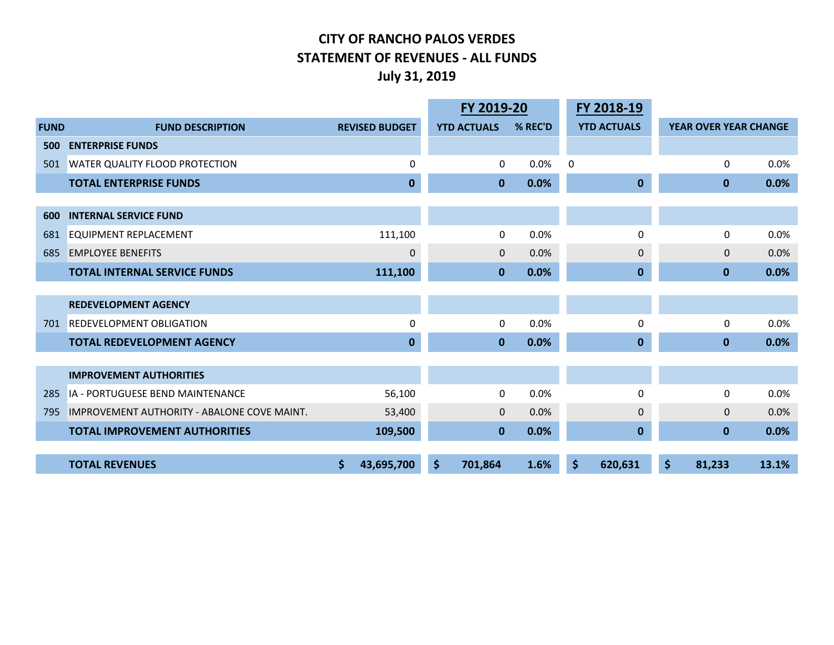## **CITY OF RANCHO PALOS VERDES STATEMENT OF REVENUES - ALL FUNDS July 31, 2019**

|             |                                             |                       | FY 2019-20 |                    |         |              | FY 2018-19         |                       |       |
|-------------|---------------------------------------------|-----------------------|------------|--------------------|---------|--------------|--------------------|-----------------------|-------|
| <b>FUND</b> | <b>FUND DESCRIPTION</b>                     | <b>REVISED BUDGET</b> |            | <b>YTD ACTUALS</b> | % REC'D |              | <b>YTD ACTUALS</b> | YEAR OVER YEAR CHANGE |       |
| 500         | <b>ENTERPRISE FUNDS</b>                     |                       |            |                    |         |              |                    |                       |       |
| 501         | <b>WATER QUALITY FLOOD PROTECTION</b>       | 0                     |            | 0                  | 0.0%    | $\mathbf{0}$ |                    | 0                     | 0.0%  |
|             | <b>TOTAL ENTERPRISE FUNDS</b>               | $\mathbf{0}$          |            | $\mathbf{0}$       | 0.0%    |              | $\mathbf 0$        | $\mathbf{0}$          | 0.0%  |
|             |                                             |                       |            |                    |         |              |                    |                       |       |
| 600         | <b>INTERNAL SERVICE FUND</b>                |                       |            |                    |         |              |                    |                       |       |
| 681         | EQUIPMENT REPLACEMENT                       | 111,100               |            | 0                  | 0.0%    |              | 0                  | $\mathbf{0}$          | 0.0%  |
| 685         | <b>EMPLOYEE BENEFITS</b>                    | 0                     |            | $\mathbf 0$        | 0.0%    |              | $\mathbf 0$        | $\Omega$              | 0.0%  |
|             | <b>TOTAL INTERNAL SERVICE FUNDS</b>         | 111,100               |            | $\mathbf 0$        | 0.0%    |              | $\bf{0}$           | $\mathbf{0}$          | 0.0%  |
|             |                                             |                       |            |                    |         |              |                    |                       |       |
|             | <b>REDEVELOPMENT AGENCY</b>                 |                       |            |                    |         |              |                    |                       |       |
| 701         | <b>REDEVELOPMENT OBLIGATION</b>             | $\Omega$              |            | 0                  | 0.0%    |              | 0                  | 0                     | 0.0%  |
|             | <b>TOTAL REDEVELOPMENT AGENCY</b>           | $\mathbf{0}$          |            | $\mathbf{0}$       | 0.0%    |              | $\mathbf 0$        | $\bf{0}$              | 0.0%  |
|             |                                             |                       |            |                    |         |              |                    |                       |       |
|             | <b>IMPROVEMENT AUTHORITIES</b>              |                       |            |                    |         |              |                    |                       |       |
| 285         | <b>IA - PORTUGUESE BEND MAINTENANCE</b>     | 56,100                |            | 0                  | 0.0%    |              | 0                  | $\Omega$              | 0.0%  |
| 795         | IMPROVEMENT AUTHORITY - ABALONE COVE MAINT. | 53,400                |            | $\mathbf{0}$       | 0.0%    |              | $\mathbf{0}$       | $\Omega$              | 0.0%  |
|             | <b>TOTAL IMPROVEMENT AUTHORITIES</b>        | 109,500               |            | $\mathbf{0}$       | 0.0%    |              | $\mathbf 0$        | $\bf{0}$              | 0.0%  |
|             |                                             |                       |            |                    |         |              |                    |                       |       |
|             | <b>TOTAL REVENUES</b>                       | \$<br>43,695,700      | \$         | 701,864            | 1.6%    | \$           | 620,631            | \$<br>81,233          | 13.1% |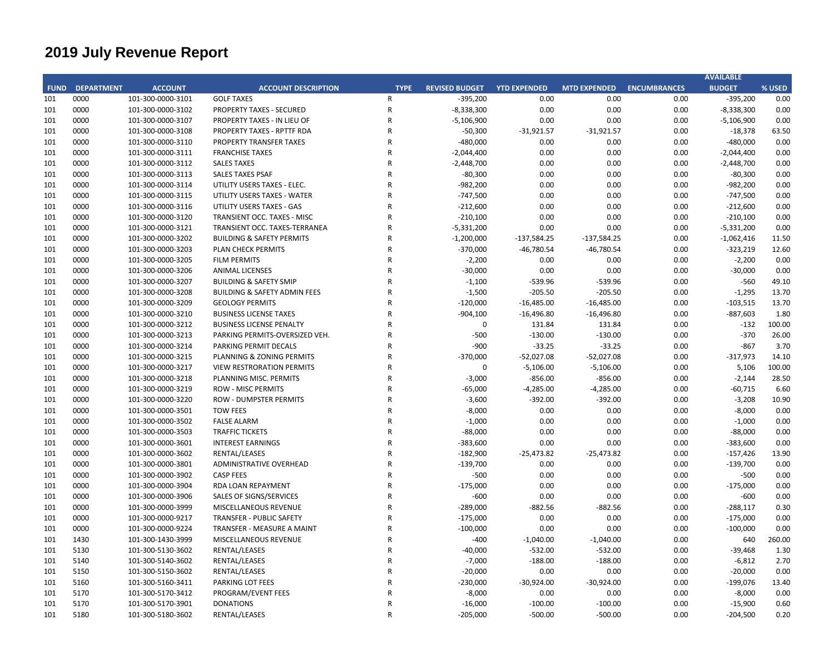# **2019 July Revenue Report**

|             |                   |                   |                                         |                |                       |                     |                     |                     | <b>AVAILABLE</b> |        |
|-------------|-------------------|-------------------|-----------------------------------------|----------------|-----------------------|---------------------|---------------------|---------------------|------------------|--------|
| <b>FUND</b> | <b>DEPARTMENT</b> | <b>ACCOUNT</b>    | <b>ACCOUNT DESCRIPTION</b>              | <b>TYPE</b>    | <b>REVISED BUDGET</b> | <b>YTD EXPENDED</b> | <b>MTD EXPENDED</b> | <b>ENCUMBRANCES</b> | <b>BUDGET</b>    | % USED |
| 101         | 0000              | 101-300-0000-3101 | <b>GOLF TAXES</b>                       | $\mathsf{R}$   | $-395,200$            | 0.00                | 0.00                | 0.00                | $-395,200$       | 0.00   |
| 101         | 0000              | 101-300-0000-3102 | <b>PROPERTY TAXES - SECURED</b>         | $\mathsf R$    | $-8,338,300$          | 0.00                | 0.00                | 0.00                | $-8,338,300$     | 0.00   |
| 101         | 0000              | 101-300-0000-3107 | PROPERTY TAXES - IN LIEU OF             | ${\sf R}$      | $-5,106,900$          | 0.00                | 0.00                | 0.00                | $-5,106,900$     | 0.00   |
| 101         | 0000              | 101-300-0000-3108 | PROPERTY TAXES - RPTTF RDA              | R              | $-50,300$             | $-31,921.57$        | $-31,921.57$        | 0.00                | $-18,378$        | 63.50  |
| 101         | 0000              | 101-300-0000-3110 | PROPERTY TRANSFER TAXES                 | $\mathsf{R}$   | $-480,000$            | 0.00                | 0.00                | 0.00                | $-480,000$       | 0.00   |
| 101         | 0000              | 101-300-0000-3111 | <b>FRANCHISE TAXES</b>                  | $\overline{R}$ | $-2,044,400$          | 0.00                | 0.00                | 0.00                | $-2,044,400$     | 0.00   |
| 101         | 0000              | 101-300-0000-3112 | <b>SALES TAXES</b>                      | $\overline{R}$ | $-2,448,700$          | 0.00                | 0.00                | 0.00                | $-2,448,700$     | 0.00   |
| 101         | 0000              | 101-300-0000-3113 | <b>SALES TAXES PSAF</b>                 | $\overline{R}$ | $-80,300$             | 0.00                | 0.00                | 0.00                | $-80,300$        | 0.00   |
| 101         | 0000              | 101-300-0000-3114 | UTILITY USERS TAXES - ELEC.             | $\mathsf{R}$   | $-982,200$            | 0.00                | 0.00                | 0.00                | $-982,200$       | 0.00   |
| 101         | 0000              | 101-300-0000-3115 | UTILITY USERS TAXES - WATER             | $\overline{R}$ | $-747,500$            | 0.00                | 0.00                | 0.00                | $-747,500$       | 0.00   |
| 101         | 0000              | 101-300-0000-3116 | UTILITY USERS TAXES - GAS               | $\overline{R}$ | $-212,600$            | 0.00                | 0.00                | 0.00                | $-212,600$       | 0.00   |
| 101         | 0000              | 101-300-0000-3120 | TRANSIENT OCC. TAXES - MISC             | $\overline{R}$ | $-210,100$            | 0.00                | 0.00                | 0.00                | $-210,100$       | 0.00   |
| 101         | 0000              | 101-300-0000-3121 | TRANSIENT OCC. TAXES-TERRANEA           | R              | $-5,331,200$          | 0.00                | 0.00                | 0.00                | $-5,331,200$     | 0.00   |
| 101         | 0000              | 101-300-0000-3202 | <b>BUILDING &amp; SAFETY PERMITS</b>    | R              | $-1,200,000$          | $-137,584.25$       | $-137,584.25$       | 0.00                | $-1,062,416$     | 11.50  |
| 101         | 0000              | 101-300-0000-3203 | PLAN CHECK PERMITS                      | R              | $-370,000$            | $-46,780.54$        | $-46,780.54$        | 0.00                | $-323,219$       | 12.60  |
| 101         | 0000              | 101-300-0000-3205 | <b>FILM PERMITS</b>                     | $\overline{R}$ | $-2,200$              | 0.00                | 0.00                | 0.00                | $-2,200$         | 0.00   |
| 101         | 0000              | 101-300-0000-3206 | <b>ANIMAL LICENSES</b>                  | R              | $-30,000$             | 0.00                | 0.00                | 0.00                | $-30,000$        | 0.00   |
| 101         | 0000              | 101-300-0000-3207 | <b>BUILDING &amp; SAFETY SMIP</b>       | $\overline{R}$ | $-1,100$              | -539.96             | -539.96             | 0.00                | $-560$           | 49.10  |
| 101         | 0000              | 101-300-0000-3208 | <b>BUILDING &amp; SAFETY ADMIN FEES</b> | $\overline{R}$ | $-1,500$              | $-205.50$           | $-205.50$           | 0.00                | $-1,295$         | 13.70  |
| 101         | 0000              | 101-300-0000-3209 | <b>GEOLOGY PERMITS</b>                  | $\overline{R}$ | $-120,000$            | $-16,485.00$        | $-16,485.00$        | 0.00                | $-103,515$       | 13.70  |
| 101         | 0000              | 101-300-0000-3210 | <b>BUSINESS LICENSE TAXES</b>           | R              | $-904,100$            | $-16,496.80$        | $-16,496.80$        | 0.00                | $-887,603$       | 1.80   |
| 101         | 0000              | 101-300-0000-3212 | <b>BUSINESS LICENSE PENALTY</b>         | $\overline{R}$ | $\Omega$              | 131.84              | 131.84              | 0.00                | $-132$           | 100.00 |
| 101         | 0000              | 101-300-0000-3213 | PARKING PERMITS-OVERSIZED VEH.          | R              | $-500$                | $-130.00$           | $-130.00$           | 0.00                | $-370$           | 26.00  |
|             | 0000              |                   |                                         | $\mathsf{R}$   | $-900$                |                     |                     |                     | $-867$           | 3.70   |
| 101         |                   | 101-300-0000-3214 | PARKING PERMIT DECALS                   | $\overline{R}$ |                       | $-33.25$            | $-33.25$            | 0.00                |                  |        |
| 101         | 0000              | 101-300-0000-3215 | PLANNING & ZONING PERMITS               |                | $-370,000$            | $-52,027.08$        | $-52,027.08$        | 0.00                | $-317,973$       | 14.10  |
| 101         | 0000              | 101-300-0000-3217 | <b>VIEW RESTRORATION PERMITS</b>        | ${\sf R}$      | $\Omega$              | $-5,106.00$         | $-5,106.00$         | 0.00                | 5,106            | 100.00 |
| 101         | 0000              | 101-300-0000-3218 | PLANNING MISC. PERMITS                  | ${\sf R}$      | $-3,000$              | $-856.00$           | $-856.00$           | 0.00                | $-2,144$         | 28.50  |
| 101         | 0000              | 101-300-0000-3219 | <b>ROW - MISC PERMITS</b>               | $\mathsf{R}$   | $-65,000$             | $-4,285.00$         | $-4,285.00$         | 0.00                | $-60,715$        | 6.60   |
| 101         | 0000              | 101-300-0000-3220 | <b>ROW - DUMPSTER PERMITS</b>           | R              | $-3,600$              | $-392.00$           | $-392.00$           | 0.00                | $-3,208$         | 10.90  |
| 101         | 0000              | 101-300-0000-3501 | <b>TOW FEES</b>                         | $\overline{R}$ | $-8,000$              | 0.00                | 0.00                | 0.00                | $-8,000$         | 0.00   |
| 101         | 0000              | 101-300-0000-3502 | <b>FALSE ALARM</b>                      | $\overline{R}$ | $-1,000$              | 0.00                | 0.00                | 0.00                | $-1,000$         | 0.00   |
| 101         | 0000              | 101-300-0000-3503 | <b>TRAFFIC TICKETS</b>                  | R              | $-88,000$             | 0.00                | 0.00                | 0.00                | $-88,000$        | 0.00   |
| 101         | 0000              | 101-300-0000-3601 | <b>INTEREST EARNINGS</b>                | R              | $-383,600$            | 0.00                | 0.00                | 0.00                | $-383,600$       | 0.00   |
| 101         | 0000              | 101-300-0000-3602 | RENTAL/LEASES                           | R              | $-182,900$            | $-25,473.82$        | $-25,473.82$        | 0.00                | $-157,426$       | 13.90  |
| 101         | 0000              | 101-300-0000-3801 | ADMINISTRATIVE OVERHEAD                 | $\overline{R}$ | $-139,700$            | 0.00                | 0.00                | 0.00                | $-139,700$       | 0.00   |
| 101         | 0000              | 101-300-0000-3902 | <b>CASP FEES</b>                        | $\overline{R}$ | $-500$                | 0.00                | 0.00                | 0.00                | $-500$           | 0.00   |
| 101         | 0000              | 101-300-0000-3904 | RDA LOAN REPAYMENT                      | $\overline{R}$ | $-175,000$            | 0.00                | 0.00                | 0.00                | $-175,000$       | 0.00   |
| 101         | 0000              | 101-300-0000-3906 | SALES OF SIGNS/SERVICES                 | $\overline{R}$ | $-600$                | 0.00                | 0.00                | 0.00                | $-600$           | 0.00   |
| 101         | 0000              | 101-300-0000-3999 | MISCELLANEOUS REVENUE                   | $\overline{R}$ | $-289,000$            | $-882.56$           | $-882.56$           | 0.00                | $-288,117$       | 0.30   |
| 101         | 0000              | 101-300-0000-9217 | <b>TRANSFER - PUBLIC SAFETY</b>         | R              | $-175,000$            | 0.00                | 0.00                | 0.00                | $-175,000$       | 0.00   |
| 101         | 0000              | 101-300-0000-9224 | TRANSFER - MEASURE A MAINT              | $\overline{R}$ | $-100,000$            | 0.00                | 0.00                | 0.00                | $-100,000$       | 0.00   |
| 101         | 1430              | 101-300-1430-3999 | MISCELLANEOUS REVENUE                   | R              | $-400$                | $-1,040.00$         | $-1,040.00$         | 0.00                | 640              | 260.00 |
| 101         | 5130              | 101-300-5130-3602 | RENTAL/LEASES                           | $\mathsf{R}$   | $-40,000$             | $-532.00$           | $-532.00$           | 0.00                | $-39,468$        | 1.30   |
| 101         | 5140              | 101-300-5140-3602 | RENTAL/LEASES                           | $\overline{R}$ | $-7,000$              | $-188.00$           | $-188.00$           | 0.00                | $-6,812$         | 2.70   |
| 101         | 5150              | 101-300-5150-3602 | RENTAL/LEASES                           | ${\sf R}$      | $-20,000$             | 0.00                | 0.00                | 0.00                | $-20,000$        | 0.00   |
| 101         | 5160              | 101-300-5160-3411 | PARKING LOT FEES                        | ${\sf R}$      | $-230,000$            | $-30,924.00$        | $-30,924.00$        | 0.00                | $-199,076$       | 13.40  |
| 101         | 5170              | 101-300-5170-3412 | PROGRAM/EVENT FEES                      | $\mathsf{R}$   | $-8,000$              | 0.00                | 0.00                | 0.00                | $-8,000$         | 0.00   |
| 101         | 5170              | 101-300-5170-3901 | <b>DONATIONS</b>                        | R              | $-16,000$             | $-100.00$           | $-100.00$           | 0.00                | $-15,900$        | 0.60   |
| 101         | 5180              | 101-300-5180-3602 | RENTAL/LEASES                           | $\mathsf{R}$   | $-205,000$            | $-500.00$           | $-500.00$           | 0.00                | $-204,500$       | 0.20   |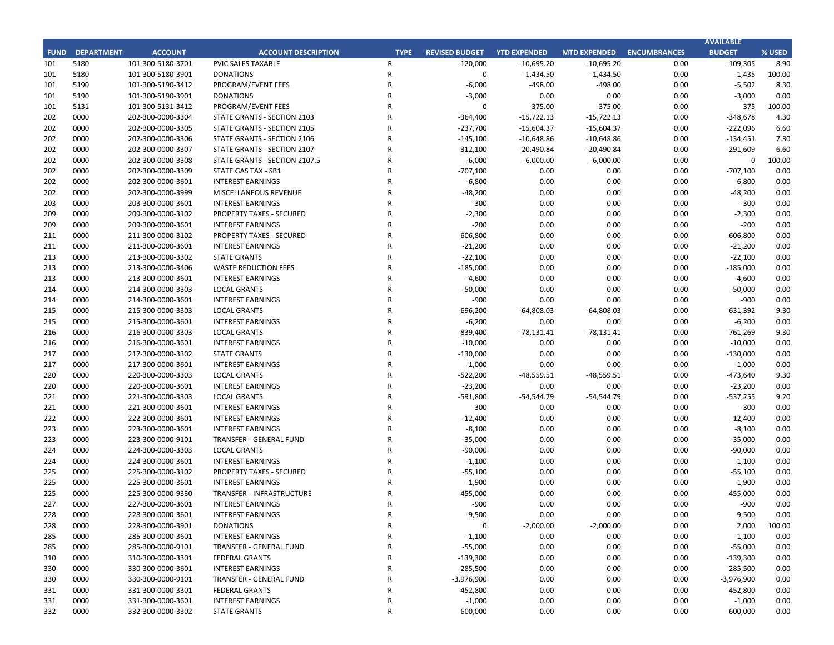|             |                   |                   |                                 |                |                       |                     |                     |                     | <b>AVAILABLE</b> |        |
|-------------|-------------------|-------------------|---------------------------------|----------------|-----------------------|---------------------|---------------------|---------------------|------------------|--------|
| <b>FUND</b> | <b>DEPARTMENT</b> | <b>ACCOUNT</b>    | <b>ACCOUNT DESCRIPTION</b>      | <b>TYPE</b>    | <b>REVISED BUDGET</b> | <b>YTD EXPENDED</b> | <b>MTD EXPENDED</b> | <b>ENCUMBRANCES</b> | <b>BUDGET</b>    | % USED |
| 101         | 5180              | 101-300-5180-3701 | PVIC SALES TAXABLE              | $\mathsf{R}$   | $-120,000$            | $-10,695.20$        | $-10,695.20$        | 0.00                | $-109,305$       | 8.90   |
| 101         | 5180              | 101-300-5180-3901 | <b>DONATIONS</b>                | $\mathsf R$    | $\mathbf 0$           | $-1,434.50$         | $-1,434.50$         | 0.00                | 1,435            | 100.00 |
| 101         | 5190              | 101-300-5190-3412 | PROGRAM/EVENT FEES              | $\mathsf{R}$   | $-6,000$              | -498.00             | -498.00             | 0.00                | $-5,502$         | 8.30   |
| 101         | 5190              | 101-300-5190-3901 | <b>DONATIONS</b>                | $\mathsf{R}$   | $-3,000$              | 0.00                | 0.00                | 0.00                | $-3,000$         | 0.00   |
| 101         | 5131              | 101-300-5131-3412 | PROGRAM/EVENT FEES              | $\mathsf{R}$   | $\Omega$              | $-375.00$           | $-375.00$           | 0.00                | 375              | 100.00 |
| 202         | 0000              | 202-300-0000-3304 | STATE GRANTS - SECTION 2103     | $\mathsf{R}$   | $-364,400$            | $-15,722.13$        | $-15,722.13$        | 0.00                | $-348,678$       | 4.30   |
| 202         | 0000              | 202-300-0000-3305 | STATE GRANTS - SECTION 2105     | $\mathsf{R}$   | $-237,700$            | $-15,604.37$        | $-15,604.37$        | 0.00                | $-222,096$       | 6.60   |
| 202         | 0000              | 202-300-0000-3306 | STATE GRANTS - SECTION 2106     | $\mathsf{R}$   | $-145,100$            | $-10,648.86$        | $-10,648.86$        | 0.00                | $-134,451$       | 7.30   |
| 202         | 0000              | 202-300-0000-3307 | STATE GRANTS - SECTION 2107     | $\mathsf{R}$   | $-312,100$            | $-20,490.84$        | $-20,490.84$        | 0.00                | $-291,609$       | 6.60   |
| 202         | 0000              | 202-300-0000-3308 | STATE GRANTS - SECTION 2107.5   | $\mathsf{R}$   | $-6,000$              | $-6,000.00$         | $-6,000.00$         | 0.00                | 0                | 100.00 |
| 202         | 0000              | 202-300-0000-3309 | STATE GAS TAX - SB1             | $\mathsf{R}$   | $-707,100$            | 0.00                | 0.00                | 0.00                | $-707,100$       | 0.00   |
| 202         | 0000              | 202-300-0000-3601 | <b>INTEREST EARNINGS</b>        | $\mathsf{R}$   | $-6,800$              | 0.00                | 0.00                | 0.00                | $-6,800$         | 0.00   |
| 202         | 0000              | 202-300-0000-3999 | MISCELLANEOUS REVENUE           | $\mathsf{R}$   | $-48,200$             | 0.00                | 0.00                | 0.00                | $-48,200$        | 0.00   |
| 203         | 0000              | 203-300-0000-3601 | <b>INTEREST EARNINGS</b>        | $\overline{R}$ | $-300$                | 0.00                | 0.00                | 0.00                | $-300$           | 0.00   |
| 209         | 0000              | 209-300-0000-3102 | <b>PROPERTY TAXES - SECURED</b> | $\mathsf{R}$   | $-2,300$              | 0.00                | 0.00                | 0.00                | $-2,300$         | 0.00   |
| 209         | 0000              | 209-300-0000-3601 | <b>INTEREST EARNINGS</b>        | $\mathsf{R}$   | $-200$                | 0.00                | 0.00                | 0.00                | $-200$           | 0.00   |
| 211         | 0000              | 211-300-0000-3102 | <b>PROPERTY TAXES - SECURED</b> | $\mathsf{R}$   | $-606,800$            | 0.00                | 0.00                | 0.00                | -606,800         | 0.00   |
|             |                   |                   |                                 |                |                       |                     |                     |                     |                  |        |
| 211         | 0000              | 211-300-0000-3601 | <b>INTEREST EARNINGS</b>        | $\mathsf{R}$   | $-21,200$             | 0.00                | 0.00                | 0.00                | $-21,200$        | 0.00   |
| 213         | 0000              | 213-300-0000-3302 | <b>STATE GRANTS</b>             | $\overline{R}$ | $-22,100$             | 0.00                | 0.00                | 0.00                | $-22,100$        | 0.00   |
| 213         | 0000              | 213-300-0000-3406 | <b>WASTE REDUCTION FEES</b>     | $\mathsf{R}$   | $-185,000$            | 0.00                | 0.00                | 0.00                | -185,000         | 0.00   |
| 213         | 0000              | 213-300-0000-3601 | <b>INTEREST EARNINGS</b>        | $\mathsf R$    | $-4,600$              | 0.00                | 0.00                | 0.00                | $-4,600$         | 0.00   |
| 214         | 0000              | 214-300-0000-3303 | <b>LOCAL GRANTS</b>             | $\mathsf{R}$   | $-50,000$             | 0.00                | 0.00                | 0.00                | $-50,000$        | 0.00   |
| 214         | 0000              | 214-300-0000-3601 | <b>INTEREST EARNINGS</b>        | $\mathsf{R}$   | $-900$                | 0.00                | 0.00                | 0.00                | $-900$           | 0.00   |
| 215         | 0000              | 215-300-0000-3303 | <b>LOCAL GRANTS</b>             | $\mathsf{R}$   | $-696,200$            | $-64,808.03$        | $-64,808.03$        | 0.00                | -631,392         | 9.30   |
| 215         | 0000              | 215-300-0000-3601 | <b>INTEREST EARNINGS</b>        | $\mathsf{R}$   | $-6,200$              | 0.00                | 0.00                | 0.00                | $-6,200$         | 0.00   |
| 216         | 0000              | 216-300-0000-3303 | <b>LOCAL GRANTS</b>             | $\mathsf{R}$   | $-839,400$            | $-78,131.41$        | $-78,131.41$        | 0.00                | $-761,269$       | 9.30   |
| 216         | 0000              | 216-300-0000-3601 | <b>INTEREST EARNINGS</b>        | $\mathsf{R}$   | $-10,000$             | 0.00                | 0.00                | 0.00                | $-10,000$        | 0.00   |
| 217         | 0000              | 217-300-0000-3302 | <b>STATE GRANTS</b>             | $\mathsf{R}$   | $-130,000$            | 0.00                | 0.00                | 0.00                | $-130,000$       | 0.00   |
| 217         | 0000              | 217-300-0000-3601 | <b>INTEREST EARNINGS</b>        | $\overline{R}$ | $-1,000$              | 0.00                | 0.00                | 0.00                | $-1,000$         | 0.00   |
| 220         | 0000              | 220-300-0000-3303 | <b>LOCAL GRANTS</b>             | $\mathsf{R}$   | $-522,200$            | $-48,559.51$        | -48,559.51          | 0.00                | $-473,640$       | 9.30   |
| 220         | 0000              | 220-300-0000-3601 | <b>INTEREST EARNINGS</b>        | $\mathsf{R}$   | $-23,200$             | 0.00                | 0.00                | 0.00                | $-23,200$        | 0.00   |
| 221         | 0000              | 221-300-0000-3303 | <b>LOCAL GRANTS</b>             | $\mathsf{R}$   | $-591,800$            | -54,544.79          | -54,544.79          | 0.00                | $-537,255$       | 9.20   |
| 221         | 0000              | 221-300-0000-3601 | <b>INTEREST EARNINGS</b>        | $\mathsf{R}$   | $-300$                | 0.00                | 0.00                | 0.00                | $-300$           | 0.00   |
| 222         | 0000              | 222-300-0000-3601 | <b>INTEREST EARNINGS</b>        | $\mathsf{R}$   | $-12,400$             | 0.00                | 0.00                | 0.00                | $-12,400$        | 0.00   |
| 223         | 0000              | 223-300-0000-3601 | <b>INTEREST EARNINGS</b>        | $\mathsf{R}$   | $-8,100$              | 0.00                | 0.00                | 0.00                | $-8,100$         | 0.00   |
| 223         | 0000              | 223-300-0000-9101 | <b>TRANSFER - GENERAL FUND</b>  | $\mathsf R$    | $-35,000$             | 0.00                | 0.00                | 0.00                | $-35,000$        | 0.00   |
| 224         | 0000              | 224-300-0000-3303 | <b>LOCAL GRANTS</b>             | $\mathsf{R}$   | $-90,000$             | 0.00                | 0.00                | 0.00                | $-90,000$        | 0.00   |
| 224         | 0000              | 224-300-0000-3601 | <b>INTEREST EARNINGS</b>        | R              | $-1,100$              | 0.00                | 0.00                | 0.00                | $-1,100$         | 0.00   |
| 225         | 0000              | 225-300-0000-3102 | <b>PROPERTY TAXES - SECURED</b> | $\mathsf{R}$   | $-55,100$             | 0.00                | 0.00                | 0.00                | $-55,100$        | 0.00   |
| 225         | 0000              | 225-300-0000-3601 | <b>INTEREST EARNINGS</b>        | $\mathsf{R}$   | $-1,900$              | 0.00                | 0.00                | 0.00                | $-1,900$         | 0.00   |
| 225         | 0000              | 225-300-0000-9330 | TRANSFER - INFRASTRUCTURE       | $\mathsf{R}$   | $-455,000$            | 0.00                | 0.00                | 0.00                | $-455,000$       | 0.00   |
| 227         | 0000              | 227-300-0000-3601 | <b>INTEREST EARNINGS</b>        | $\mathsf{R}$   | $-900$                | 0.00                | 0.00                | 0.00                | $-900$           | 0.00   |
| 228         | 0000              | 228-300-0000-3601 | <b>INTEREST EARNINGS</b>        | R              | -9,500                | 0.00                | 0.00                | 0.00                | $-9,500$         | 0.00   |
| 228         | 0000              | 228-300-0000-3901 | <b>DONATIONS</b>                | R              | 0                     | $-2,000.00$         | $-2,000.00$         | 0.00                | 2,000            | 100.00 |
| 285         | 0000              | 285-300-0000-3601 | <b>INTEREST EARNINGS</b>        | R              | $-1,100$              | 0.00                | 0.00                | 0.00                | $-1,100$         | 0.00   |
| 285         | 0000              | 285-300-0000-9101 | TRANSFER - GENERAL FUND         | R              | $-55,000$             | 0.00                | 0.00                | 0.00                | $-55,000$        | 0.00   |
| 310         | 0000              | 310-300-0000-3301 | <b>FEDERAL GRANTS</b>           | R              | $-139,300$            | 0.00                | 0.00                | 0.00                | $-139,300$       | 0.00   |
| 330         | 0000              | 330-300-0000-3601 | <b>INTEREST EARNINGS</b>        | R              | $-285,500$            | 0.00                | 0.00                | 0.00                | $-285,500$       | 0.00   |
| 330         | 0000              | 330-300-0000-9101 | TRANSFER - GENERAL FUND         | $\mathsf R$    | $-3,976,900$          | 0.00                | 0.00                | 0.00                | $-3,976,900$     | 0.00   |
| 331         | 0000              | 331-300-0000-3301 | <b>FEDERAL GRANTS</b>           | R              | -452,800              | 0.00                | 0.00                | 0.00                | $-452,800$       | 0.00   |
| 331         | 0000              | 331-300-0000-3601 | <b>INTEREST EARNINGS</b>        | R              | $-1,000$              | 0.00                | 0.00                | 0.00                | $-1,000$         | 0.00   |
| 332         | 0000              | 332-300-0000-3302 | <b>STATE GRANTS</b>             | $\mathsf R$    | $-600,000$            | 0.00                | 0.00                | 0.00                | $-600,000$       | 0.00   |
|             |                   |                   |                                 |                |                       |                     |                     |                     |                  |        |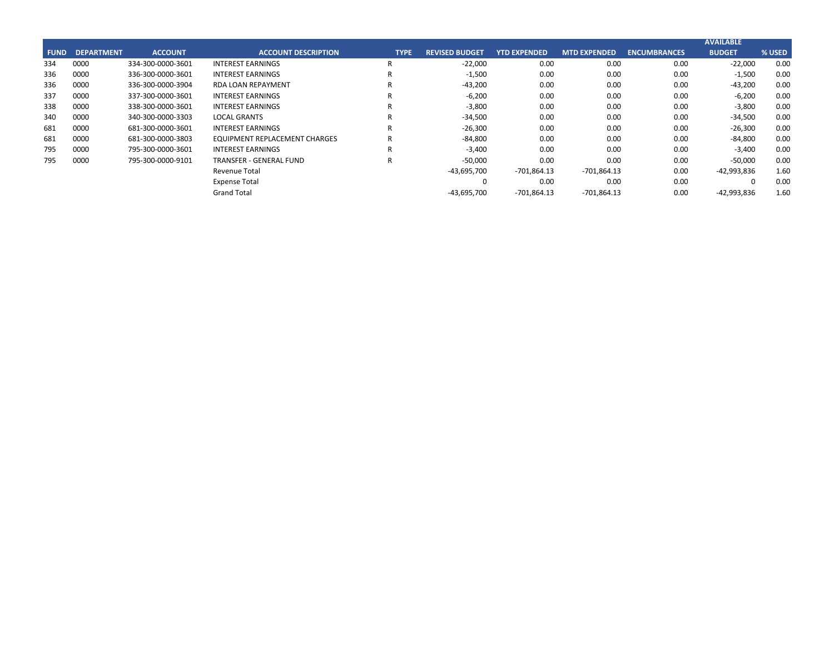|             |                   |                   |                               |             |                       |                     |                     |                     | <b>AVAILABLE</b> |        |
|-------------|-------------------|-------------------|-------------------------------|-------------|-----------------------|---------------------|---------------------|---------------------|------------------|--------|
| <b>FUND</b> | <b>DEPARTMENT</b> | <b>ACCOUNT</b>    | <b>ACCOUNT DESCRIPTION</b>    | <b>TYPE</b> | <b>REVISED BUDGET</b> | <b>YTD EXPENDED</b> | <b>MTD EXPENDED</b> | <b>ENCUMBRANCES</b> | <b>BUDGET</b>    | % USED |
| 334         | 0000              | 334-300-0000-3601 | <b>INTEREST EARNINGS</b>      |             | $-22,000$             | 0.00                | 0.00                | 0.00                | $-22,000$        | 0.00   |
| 336         | 0000              | 336-300-0000-3601 | <b>INTEREST EARNINGS</b>      | D           | $-1,500$              | 0.00                | 0.00                | 0.00                | $-1,500$         | 0.00   |
| 336         | 0000              | 336-300-0000-3904 | <b>RDA LOAN REPAYMENT</b>     |             | $-43,200$             | 0.00                | 0.00                | 0.00                | $-43,200$        | 0.00   |
| 337         | 0000              | 337-300-0000-3601 | <b>INTEREST EARNINGS</b>      | D           | $-6,200$              | 0.00                | 0.00                | 0.00                | $-6,200$         | 0.00   |
| 338         | 0000              | 338-300-0000-3601 | <b>INTEREST EARNINGS</b>      |             | $-3,800$              | 0.00                | 0.00                | 0.00                | $-3,800$         | 0.00   |
| 340         | 0000              | 340-300-0000-3303 | <b>LOCAL GRANTS</b>           | D           | $-34,500$             | 0.00                | 0.00                | 0.00                | $-34,500$        | 0.00   |
| 681         | 0000              | 681-300-0000-3601 | <b>INTEREST EARNINGS</b>      | R           | $-26,300$             | 0.00                | 0.00                | 0.00                | $-26,300$        | 0.00   |
| 681         | 0000              | 681-300-0000-3803 | EQUIPMENT REPLACEMENT CHARGES | R           | $-84,800$             | 0.00                | 0.00                | 0.00                | $-84,800$        | 0.00   |
| 795         | 0000              | 795-300-0000-3601 | <b>INTEREST EARNINGS</b>      | R           | $-3,400$              | 0.00                | 0.00                | 0.00                | $-3,400$         | 0.00   |
| 795         | 0000              | 795-300-0000-9101 | TRANSFER - GENERAL FUND       | R           | $-50,000$             | 0.00                | 0.00                | 0.00                | $-50,000$        | 0.00   |
|             |                   |                   | Revenue Total                 |             | $-43,695,700$         | -701,864.13         | -701,864.13         | 0.00                | -42,993,836      | 1.60   |
|             |                   |                   | <b>Expense Total</b>          |             | 0                     | 0.00                | 0.00                | 0.00                |                  | 0.00   |
|             |                   |                   | <b>Grand Total</b>            |             | $-43,695,700$         | -701,864.13         | -701,864.13         | 0.00                | $-42,993,836$    | 1.60   |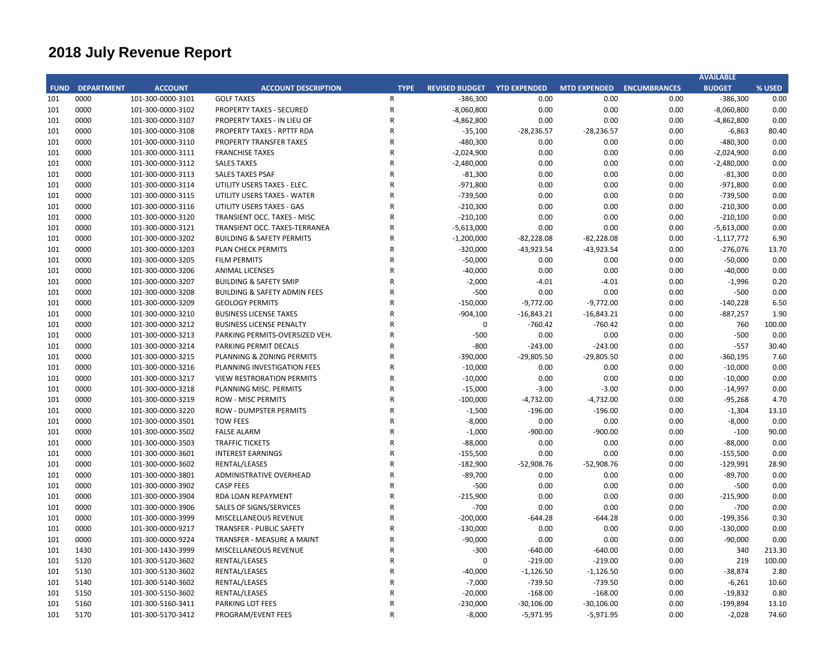# **2018 July Revenue Report**

| <b>DEPARTMENT</b><br><b>ACCOUNT</b><br><b>FUND</b><br>101<br>0000<br>101-300-0000-3101 | <b>ACCOUNT DESCRIPTION</b>              | <b>TYPE</b>  | <b>REVISED BUDGET YTD EXPENDED</b> |              | <b>MTD EXPENDED ENCUMBRANCES</b> |      | <b>BUDGET</b> | % USED |
|----------------------------------------------------------------------------------------|-----------------------------------------|--------------|------------------------------------|--------------|----------------------------------|------|---------------|--------|
|                                                                                        |                                         |              |                                    |              |                                  |      |               |        |
|                                                                                        | <b>GOLF TAXES</b>                       | R            | $-386,300$                         | 0.00         | 0.00                             | 0.00 | $-386,300$    | 0.00   |
| 0000<br>101<br>101-300-0000-3102                                                       | <b>PROPERTY TAXES - SECURED</b>         | R            | $-8,060,800$                       | 0.00         | 0.00                             | 0.00 | $-8,060,800$  | 0.00   |
| 101<br>0000<br>101-300-0000-3107                                                       | PROPERTY TAXES - IN LIEU OF             | ${\sf R}$    | $-4,862,800$                       | 0.00         | 0.00                             | 0.00 | $-4,862,800$  | 0.00   |
| 0000<br>101<br>101-300-0000-3108                                                       | PROPERTY TAXES - RPTTF RDA              | $\mathsf R$  | $-35,100$                          | $-28,236.57$ | $-28,236.57$                     | 0.00 | $-6,863$      | 80.40  |
| 0000<br>101<br>101-300-0000-3110                                                       | PROPERTY TRANSFER TAXES                 | $\mathsf{R}$ | $-480,300$                         | 0.00         | 0.00                             | 0.00 | $-480,300$    | 0.00   |
| 101<br>0000<br>101-300-0000-3111                                                       | <b>FRANCHISE TAXES</b>                  | $\mathsf R$  | $-2,024,900$                       | 0.00         | 0.00                             | 0.00 | $-2,024,900$  | 0.00   |
| 101<br>0000<br>101-300-0000-3112                                                       | <b>SALES TAXES</b>                      | $\mathsf R$  | $-2,480,000$                       | 0.00         | 0.00                             | 0.00 | $-2,480,000$  | 0.00   |
| 0000<br>101<br>101-300-0000-3113                                                       | <b>SALES TAXES PSAF</b>                 | $\mathsf{R}$ | $-81,300$                          | 0.00         | 0.00                             | 0.00 | $-81,300$     | 0.00   |
| 0000<br>101<br>101-300-0000-3114                                                       | UTILITY USERS TAXES - ELEC.             | $\mathsf{R}$ | $-971,800$                         | 0.00         | 0.00                             | 0.00 | $-971,800$    | 0.00   |
| 0000<br>101<br>101-300-0000-3115                                                       | UTILITY USERS TAXES - WATER             | ${\sf R}$    | $-739,500$                         | 0.00         | 0.00                             | 0.00 | $-739,500$    | 0.00   |
| 0000<br>101<br>101-300-0000-3116                                                       | UTILITY USERS TAXES - GAS               | $\mathsf{R}$ | $-210,300$                         | 0.00         | 0.00                             | 0.00 | $-210,300$    | 0.00   |
| 0000<br>101<br>101-300-0000-3120                                                       | TRANSIENT OCC. TAXES - MISC             | ${\sf R}$    | $-210,100$                         | 0.00         | 0.00                             | 0.00 | $-210,100$    | 0.00   |
| 101<br>0000<br>101-300-0000-3121                                                       | TRANSIENT OCC. TAXES-TERRANEA           | $\mathsf{R}$ | $-5,613,000$                       | 0.00         | 0.00                             | 0.00 | $-5,613,000$  | 0.00   |
| 101<br>0000<br>101-300-0000-3202                                                       | <b>BUILDING &amp; SAFETY PERMITS</b>    | $\mathsf R$  | $-1,200,000$                       | $-82,228.08$ | $-82,228.08$                     | 0.00 | $-1,117,772$  | 6.90   |
| 101<br>0000<br>101-300-0000-3203                                                       | <b>PLAN CHECK PERMITS</b>               | ${\sf R}$    | $-320,000$                         | $-43,923.54$ | $-43,923.54$                     | 0.00 | $-276,076$    | 13.70  |
| 101<br>0000<br>101-300-0000-3205                                                       | <b>FILM PERMITS</b>                     | $\mathsf{R}$ | $-50,000$                          | 0.00         | 0.00                             | 0.00 | $-50,000$     | 0.00   |
| 101<br>0000<br>101-300-0000-3206                                                       | <b>ANIMAL LICENSES</b>                  | R            | $-40,000$                          | 0.00         | 0.00                             | 0.00 | $-40,000$     | 0.00   |
| 0000<br>101<br>101-300-0000-3207                                                       | <b>BUILDING &amp; SAFETY SMIP</b>       | $\mathsf{R}$ | $-2,000$                           | -4.01        | $-4.01$                          | 0.00 | $-1,996$      | 0.20   |
| 0000<br>101<br>101-300-0000-3208                                                       | <b>BUILDING &amp; SAFETY ADMIN FEES</b> | $\mathsf{R}$ | $-500$                             | 0.00         | 0.00                             | 0.00 | $-500$        | 0.00   |
| 101<br>0000<br>101-300-0000-3209                                                       | <b>GEOLOGY PERMITS</b>                  | $\mathsf R$  | $-150,000$                         | $-9,772.00$  | $-9,772.00$                      | 0.00 | $-140,228$    | 6.50   |
| 101<br>0000<br>101-300-0000-3210                                                       | <b>BUSINESS LICENSE TAXES</b>           | $\mathsf{R}$ | $-904,100$                         | $-16,843.21$ | $-16,843.21$                     | 0.00 | $-887,257$    | 1.90   |
| 0000<br>101<br>101-300-0000-3212                                                       | <b>BUSINESS LICENSE PENALTY</b>         | R            | $\Omega$                           | $-760.42$    | $-760.42$                        | 0.00 | 760           | 100.00 |
| 101<br>0000<br>101-300-0000-3213                                                       | PARKING PERMITS-OVERSIZED VEH.          | ${\sf R}$    | $-500$                             | 0.00         | 0.00                             | 0.00 | $-500$        | 0.00   |
| 0000<br>101<br>101-300-0000-3214                                                       | PARKING PERMIT DECALS                   | $\mathsf{R}$ | $-800$                             | $-243.00$    | $-243.00$                        | 0.00 | $-557$        | 30.40  |
| 0000<br>101-300-0000-3215<br>101                                                       | PLANNING & ZONING PERMITS               | R            | $-390,000$                         | $-29,805.50$ | $-29,805.50$                     | 0.00 | $-360,195$    | 7.60   |
| 0000<br>101<br>101-300-0000-3216                                                       | PLANNING INVESTIGATION FEES             | $\mathsf{R}$ | $-10,000$                          | 0.00         | 0.00                             | 0.00 | $-10,000$     | 0.00   |
| 101<br>0000<br>101-300-0000-3217                                                       | <b>VIEW RESTRORATION PERMITS</b>        | R            | $-10,000$                          | 0.00         | 0.00                             | 0.00 | $-10,000$     | 0.00   |
| 0000<br>101<br>101-300-0000-3218                                                       | PLANNING MISC. PERMITS                  | $\mathsf R$  | $-15,000$                          | $-3.00$      | $-3.00$                          | 0.00 | $-14,997$     | 0.00   |
| 0000<br>101<br>101-300-0000-3219                                                       | <b>ROW - MISC PERMITS</b>               | $\mathsf{R}$ | $-100,000$                         | $-4,732.00$  | $-4,732.00$                      | 0.00 | $-95,268$     | 4.70   |
| 0000<br>101<br>101-300-0000-3220                                                       | <b>ROW - DUMPSTER PERMITS</b>           | $\mathsf R$  | $-1,500$                           | $-196.00$    | $-196.00$                        | 0.00 | $-1,304$      | 13.10  |
| 0000<br>101-300-0000-3501<br>101                                                       | <b>TOW FEES</b>                         | ${\sf R}$    | $-8,000$                           | 0.00         | 0.00                             | 0.00 | $-8,000$      | 0.00   |
| 0000<br>101<br>101-300-0000-3502                                                       | <b>FALSE ALARM</b>                      | $\mathsf{R}$ | $-1,000$                           | $-900.00$    | $-900.00$                        | 0.00 | $-100$        | 90.00  |
| 101<br>0000<br>101-300-0000-3503                                                       | <b>TRAFFIC TICKETS</b>                  | $\mathsf R$  | $-88,000$                          | 0.00         | 0.00                             | 0.00 | $-88,000$     | 0.00   |
| 0000<br>101<br>101-300-0000-3601                                                       | <b>INTEREST EARNINGS</b>                | $\mathsf{R}$ | $-155,500$                         | 0.00         | 0.00                             | 0.00 | $-155,500$    | 0.00   |
| 101<br>0000<br>101-300-0000-3602                                                       | RENTAL/LEASES                           | $\mathsf R$  | $-182,900$                         | $-52,908.76$ | $-52,908.76$                     | 0.00 | $-129,991$    | 28.90  |
| 101<br>0000<br>101-300-0000-3801                                                       | ADMINISTRATIVE OVERHEAD                 | $\mathsf R$  | $-89,700$                          | 0.00         | 0.00                             | 0.00 | $-89,700$     | 0.00   |
| 101<br>0000<br>101-300-0000-3902                                                       | <b>CASP FEES</b>                        | $\mathsf{R}$ | $-500$                             | 0.00         | 0.00                             | 0.00 | $-500$        | 0.00   |
| 101<br>0000<br>101-300-0000-3904                                                       | RDA LOAN REPAYMENT                      | $\mathsf{R}$ | $-215,900$                         | 0.00         | 0.00                             | 0.00 | $-215,900$    | 0.00   |
| 101<br>0000<br>101-300-0000-3906                                                       | SALES OF SIGNS/SERVICES                 | $\mathsf{R}$ | $-700$                             | 0.00         | 0.00                             | 0.00 | $-700$        | 0.00   |
| 0000<br>101<br>101-300-0000-3999                                                       | MISCELLANEOUS REVENUE                   | $\mathsf{R}$ | $-200,000$                         | $-644.28$    | $-644.28$                        | 0.00 | $-199,356$    | 0.30   |
| 101<br>0000<br>101-300-0000-9217                                                       | <b>TRANSFER - PUBLIC SAFETY</b>         | $\mathsf R$  | $-130,000$                         | 0.00         | 0.00                             | 0.00 | $-130,000$    | 0.00   |
| 101<br>0000<br>101-300-0000-9224                                                       | TRANSFER - MEASURE A MAINT              | $\mathsf{R}$ | $-90,000$                          | 0.00         | 0.00                             | 0.00 | $-90,000$     | 0.00   |
| 101<br>1430<br>101-300-1430-3999                                                       | MISCELLANEOUS REVENUE                   | $\mathsf R$  | $-300$                             | $-640.00$    | $-640.00$                        | 0.00 | 340           | 213.30 |
| 5120<br>101<br>101-300-5120-3602                                                       | RENTAL/LEASES                           | R            | $\Omega$                           | $-219.00$    | $-219.00$                        | 0.00 | 219           | 100.00 |
| 101<br>5130<br>101-300-5130-3602                                                       | RENTAL/LEASES                           | R            | $-40,000$                          | $-1,126.50$  | $-1,126.50$                      | 0.00 | $-38,874$     | 2.80   |
| 5140<br>101-300-5140-3602<br>101                                                       | RENTAL/LEASES                           | R            | $-7,000$                           | $-739.50$    | $-739.50$                        | 0.00 | $-6,261$      | 10.60  |
| 5150<br>101<br>101-300-5150-3602                                                       | RENTAL/LEASES                           | R            | $-20,000$                          | $-168.00$    | $-168.00$                        | 0.00 | $-19,832$     | 0.80   |
| 5160<br>101<br>101-300-5160-3411                                                       | PARKING LOT FEES                        | $\mathsf{R}$ | $-230,000$                         | $-30,106.00$ | $-30,106.00$                     | 0.00 | $-199,894$    | 13.10  |
| 101<br>5170<br>101-300-5170-3412                                                       | PROGRAM/EVENT FEES                      | $\mathsf{R}$ | $-8,000$                           | $-5,971.95$  | $-5,971.95$                      | 0.00 | $-2,028$      | 74.60  |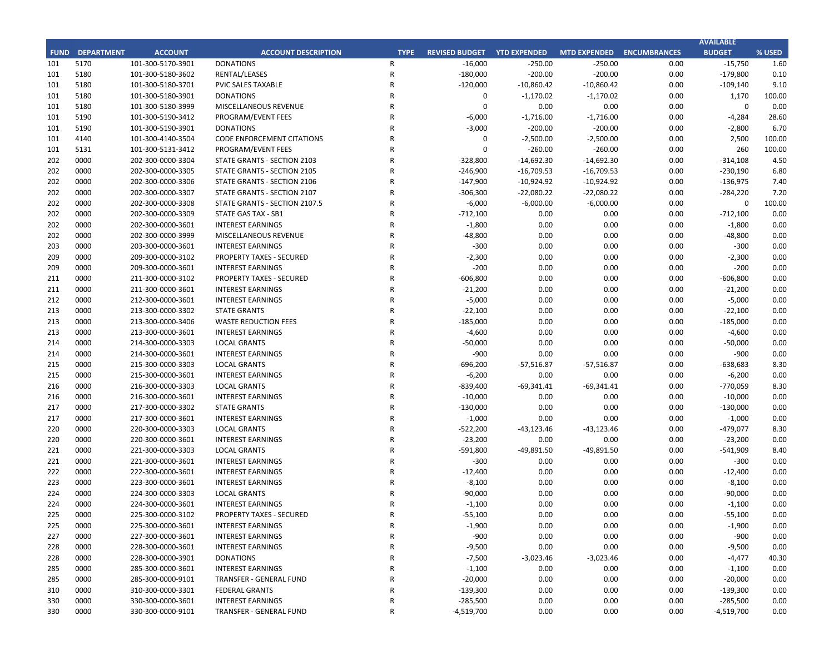|            |                        |                                        |                                                      |             |                       |                     |                           |              | <b>AVAILABLE</b>   |              |
|------------|------------------------|----------------------------------------|------------------------------------------------------|-------------|-----------------------|---------------------|---------------------------|--------------|--------------------|--------------|
|            | <b>FUND DEPARTMENT</b> | <b>ACCOUNT</b>                         | <b>ACCOUNT DESCRIPTION</b>                           | <b>TYPE</b> | <b>REVISED BUDGET</b> | <b>YTD EXPENDED</b> | MTD EXPENDED ENCUMBRANCES |              | <b>BUDGET</b>      | % USED       |
| 101        | 5170                   | 101-300-5170-3901                      | <b>DONATIONS</b>                                     | R           | $-16,000$             | $-250.00$           | $-250.00$                 | 0.00         | $-15,750$          | 1.60         |
| 101        | 5180                   | 101-300-5180-3602                      | RENTAL/LEASES                                        | R           | $-180,000$            | $-200.00$           | $-200.00$                 | 0.00         | $-179,800$         | 0.10         |
| 101        | 5180                   | 101-300-5180-3701                      | PVIC SALES TAXABLE                                   | R           | $-120,000$            | $-10,860.42$        | $-10,860.42$              | 0.00         | $-109,140$         | 9.10         |
| 101        | 5180                   | 101-300-5180-3901                      | <b>DONATIONS</b>                                     | R           | 0                     | $-1,170.02$         | $-1,170.02$               | 0.00         | 1,170              | 100.00       |
| 101        | 5180                   | 101-300-5180-3999                      | MISCELLANEOUS REVENUE                                | R           | $\mathbf 0$           | 0.00                | 0.00                      | 0.00         | $\mathbf 0$        | 0.00         |
| 101        | 5190                   | 101-300-5190-3412                      | PROGRAM/EVENT FEES                                   | R           | $-6,000$              | $-1,716.00$         | $-1,716.00$               | 0.00         | $-4,284$           | 28.60        |
| 101        | 5190                   | 101-300-5190-3901                      | <b>DONATIONS</b>                                     | R           | $-3,000$              | $-200.00$           | $-200.00$                 | 0.00         | $-2,800$           | 6.70         |
| 101        | 4140                   | 101-300-4140-3504                      | <b>CODE ENFORCEMENT CITATIONS</b>                    | R           | 0                     | $-2,500.00$         | $-2,500.00$               | 0.00         | 2,500              | 100.00       |
| 101        | 5131                   | 101-300-5131-3412                      | PROGRAM/EVENT FEES                                   | R           | $\mathbf 0$           | $-260.00$           | $-260.00$                 | 0.00         | 260                | 100.00       |
| 202        | 0000                   | 202-300-0000-3304                      | STATE GRANTS - SECTION 2103                          | R           | $-328,800$            | $-14,692.30$        | $-14,692.30$              | 0.00         | $-314,108$         | 4.50         |
| 202        | 0000                   | 202-300-0000-3305                      | STATE GRANTS - SECTION 2105                          | R           | $-246,900$            | $-16,709.53$        | $-16,709.53$              | 0.00         | $-230,190$         | 6.80         |
| 202        | 0000                   | 202-300-0000-3306                      | STATE GRANTS - SECTION 2106                          | R           | $-147,900$            | $-10,924.92$        | $-10,924.92$              | 0.00         | $-136,975$         | 7.40         |
| 202        | 0000                   | 202-300-0000-3307                      | STATE GRANTS - SECTION 2107                          | R           | $-306,300$            | $-22,080.22$        | $-22,080.22$              | 0.00         | $-284,220$         | 7.20         |
| 202        | 0000                   | 202-300-0000-3308                      | STATE GRANTS - SECTION 2107.5                        | R           | $-6,000$              | $-6,000.00$         | $-6,000.00$               | 0.00         | 0                  | 100.00       |
| 202        | 0000                   | 202-300-0000-3309                      | STATE GAS TAX - SB1                                  | R           | $-712,100$            | 0.00                | 0.00                      | 0.00         | $-712,100$         | 0.00         |
| 202        | 0000                   | 202-300-0000-3601                      | <b>INTEREST EARNINGS</b>                             | R           | $-1,800$              | 0.00                | 0.00                      | 0.00         | $-1,800$           | 0.00         |
| 202        | 0000                   | 202-300-0000-3999                      | MISCELLANEOUS REVENUE                                | R           | $-48,800$             | 0.00                | 0.00                      | 0.00         | $-48,800$          | 0.00         |
| 203        | 0000                   | 203-300-0000-3601                      | <b>INTEREST EARNINGS</b>                             | R           | $-300$                | 0.00                | 0.00                      | 0.00         | $-300$             | 0.00         |
| 209        | 0000                   | 209-300-0000-3102                      | <b>PROPERTY TAXES - SECURED</b>                      | R           | $-2,300$              | 0.00                | 0.00                      | 0.00         | $-2,300$           | 0.00         |
| 209        | 0000                   | 209-300-0000-3601                      | <b>INTEREST EARNINGS</b>                             | R           | $-200$                | 0.00                | 0.00                      | 0.00         | $-200$             | 0.00         |
| 211        | 0000                   | 211-300-0000-3102                      | <b>PROPERTY TAXES - SECURED</b>                      | R           | $-606,800$            | 0.00                | 0.00                      | 0.00         | -606,800           | 0.00         |
| 211        | 0000                   | 211-300-0000-3601                      | <b>INTEREST EARNINGS</b>                             | R           | $-21,200$             | 0.00                | 0.00                      | 0.00         | $-21,200$          | 0.00         |
| 212        | 0000                   | 212-300-0000-3601                      | <b>INTEREST EARNINGS</b>                             | R           | $-5,000$              | 0.00                | 0.00                      | 0.00         | $-5,000$           | 0.00         |
| 213        | 0000                   | 213-300-0000-3302                      | <b>STATE GRANTS</b>                                  | R           | $-22,100$             | 0.00                | 0.00                      | 0.00         | $-22,100$          | 0.00         |
| 213        | 0000                   | 213-300-0000-3406                      | <b>WASTE REDUCTION FEES</b>                          | R           | $-185,000$            | 0.00                | 0.00                      | 0.00         | $-185,000$         | 0.00         |
| 213        | 0000                   | 213-300-0000-3601                      | <b>INTEREST EARNINGS</b>                             | R           | $-4,600$              | 0.00                | 0.00                      | 0.00         | $-4,600$           | 0.00         |
| 214        | 0000                   | 214-300-0000-3303                      | <b>LOCAL GRANTS</b>                                  | R           | $-50,000$             | 0.00                | 0.00                      | 0.00         | $-50,000$          | 0.00         |
| 214        | 0000                   | 214-300-0000-3601                      | <b>INTEREST EARNINGS</b>                             | R           | $-900$                | 0.00                | 0.00                      | 0.00         | $-900$             | 0.00         |
| 215        | 0000                   | 215-300-0000-3303                      | <b>LOCAL GRANTS</b>                                  | R           | $-696,200$            | $-57,516.87$        | $-57,516.87$              | 0.00         | $-638,683$         | 8.30         |
| 215        | 0000                   | 215-300-0000-3601                      | <b>INTEREST EARNINGS</b>                             | R           | $-6,200$              | 0.00                | 0.00                      | 0.00         | $-6,200$           | 0.00         |
| 216        | 0000                   | 216-300-0000-3303                      | <b>LOCAL GRANTS</b>                                  | R           | $-839,400$            | $-69,341.41$        | $-69,341.41$              | 0.00         | -770,059           | 8.30         |
| 216        | 0000                   | 216-300-0000-3601                      | <b>INTEREST EARNINGS</b>                             | R           | $-10,000$             | 0.00                | 0.00                      | 0.00         | $-10,000$          | 0.00         |
| 217        | 0000                   | 217-300-0000-3302                      | <b>STATE GRANTS</b>                                  | R           | $-130,000$            | 0.00                | 0.00                      | 0.00         | $-130,000$         | 0.00         |
| 217        | 0000                   | 217-300-0000-3601                      | <b>INTEREST EARNINGS</b>                             | R           | $-1,000$              | 0.00                | 0.00                      | 0.00         | $-1,000$           | 0.00         |
| 220        | 0000                   | 220-300-0000-3303                      | <b>LOCAL GRANTS</b>                                  | R           | $-522,200$            | $-43,123.46$        | $-43,123.46$              | 0.00         | $-479,077$         | 8.30         |
| 220        | 0000                   | 220-300-0000-3601                      | <b>INTEREST EARNINGS</b>                             | R           | $-23,200$             | 0.00                | 0.00                      | 0.00         | $-23,200$          | 0.00         |
| 221        | 0000                   | 221-300-0000-3303                      | <b>LOCAL GRANTS</b>                                  | R           | $-591,800$            | $-49,891.50$        | -49,891.50                | 0.00         | $-541,909$         | 8.40         |
| 221        | 0000                   | 221-300-0000-3601                      | <b>INTEREST EARNINGS</b>                             | R           | $-300$                | 0.00                | 0.00                      | 0.00         | $-300$             | 0.00         |
| 222        | 0000                   | 222-300-0000-3601                      | <b>INTEREST EARNINGS</b>                             | R           | $-12,400$             | 0.00                | 0.00                      | 0.00         | $-12,400$          | 0.00         |
| 223        | 0000                   | 223-300-0000-3601                      | <b>INTEREST EARNINGS</b>                             | R           | $-8,100$              | 0.00                | 0.00                      | 0.00         | $-8,100$           | 0.00         |
| 224        | 0000                   | 224-300-0000-3303                      | <b>LOCAL GRANTS</b>                                  | R           | $-90,000$             | 0.00                | 0.00                      | 0.00         | $-90,000$          | 0.00         |
| 224        | 0000                   | 224-300-0000-3601                      | <b>INTEREST EARNINGS</b>                             | R           | $-1,100$              | 0.00                | 0.00                      | 0.00         | $-1,100$           | 0.00         |
|            | 0000                   |                                        | <b>PROPERTY TAXES - SECURED</b>                      | R           |                       | 0.00                |                           |              |                    | 0.00         |
| 225<br>225 | 0000                   | 225-300-0000-3102<br>225-300-0000-3601 |                                                      | R           | $-55,100$             | 0.00                | 0.00<br>0.00              | 0.00<br>0.00 | $-55,100$          | 0.00         |
| 227        | 0000                   | 227-300-0000-3601                      | INTEREST EARNINGS                                    | R           | $-1,900$<br>$-900$    |                     |                           |              | $-1,900$<br>$-900$ |              |
| 228        | 0000                   | 228-300-0000-3601                      | <b>INTEREST EARNINGS</b><br><b>INTEREST EARNINGS</b> | R           |                       | 0.00<br>0.00        | 0.00<br>0.00              | 0.00<br>0.00 |                    | 0.00<br>0.00 |
|            |                        |                                        |                                                      |             | $-9,500$              |                     |                           |              | $-9,500$           |              |
| 228        | 0000                   | 228-300-0000-3901                      | <b>DONATIONS</b>                                     | R           | $-7,500$              | $-3,023.46$         | $-3,023.46$               | 0.00         | $-4,477$           | 40.30        |
| 285        | 0000                   | 285-300-0000-3601                      | <b>INTEREST EARNINGS</b>                             | R           | $-1,100$              | 0.00                | 0.00                      | 0.00         | $-1,100$           | 0.00         |
| 285        | 0000                   | 285-300-0000-9101                      | TRANSFER - GENERAL FUND                              | R           | $-20,000$             | 0.00                | 0.00                      | 0.00         | $-20,000$          | 0.00         |
| 310        | 0000                   | 310-300-0000-3301                      | <b>FEDERAL GRANTS</b>                                | R           | $-139,300$            | 0.00                | 0.00                      | 0.00         | -139,300           | 0.00         |
| 330        | 0000                   | 330-300-0000-3601                      | <b>INTEREST EARNINGS</b>                             | R           | $-285,500$            | 0.00                | 0.00                      | 0.00         | $-285,500$         | 0.00         |
| 330        | 0000                   | 330-300-0000-9101                      | TRANSFER - GENERAL FUND                              | R           | -4,519,700            | 0.00                | 0.00                      | 0.00         | -4,519,700         | 0.00         |